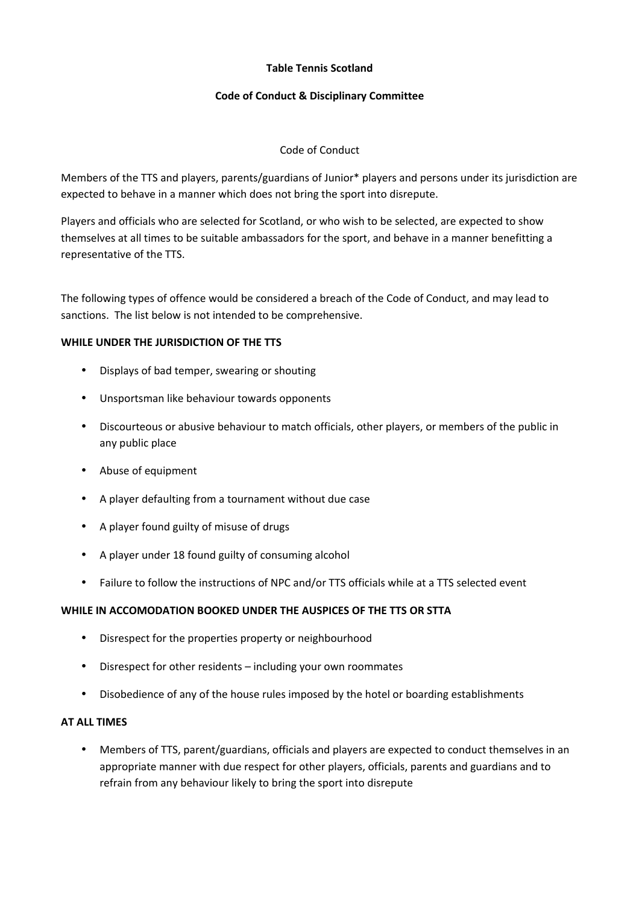## **Table Tennis Scotland**

## **Code of Conduct & Disciplinary Committee**

## Code of Conduct

Members of the TTS and players, parents/guardians of Junior\* players and persons under its jurisdiction are expected to behave in a manner which does not bring the sport into disrepute.

Players and officials who are selected for Scotland, or who wish to be selected, are expected to show themselves at all times to be suitable ambassadors for the sport, and behave in a manner benefitting a representative of the TTS.

The following types of offence would be considered a breach of the Code of Conduct, and may lead to sanctions. The list below is not intended to be comprehensive.

#### **WHILE UNDER THE JURISDICTION OF THE TTS**

- Displays of bad temper, swearing or shouting
- Unsportsman like behaviour towards opponents
- Discourteous or abusive behaviour to match officials, other players, or members of the public in any public place
- Abuse of equipment
- A player defaulting from a tournament without due case
- A player found guilty of misuse of drugs
- A player under 18 found guilty of consuming alcohol
- Failure to follow the instructions of NPC and/or TTS officials while at a TTS selected event

#### **WHILE IN ACCOMODATION BOOKED UNDER THE AUSPICES OF THE TTS OR STTA**

- Disrespect for the properties property or neighbourhood
- Disrespect for other residents including your own roommates
- Disobedience of any of the house rules imposed by the hotel or boarding establishments

## **AT ALL TIMES**

• Members of TTS, parent/guardians, officials and players are expected to conduct themselves in an appropriate manner with due respect for other players, officials, parents and guardians and to refrain from any behaviour likely to bring the sport into disrepute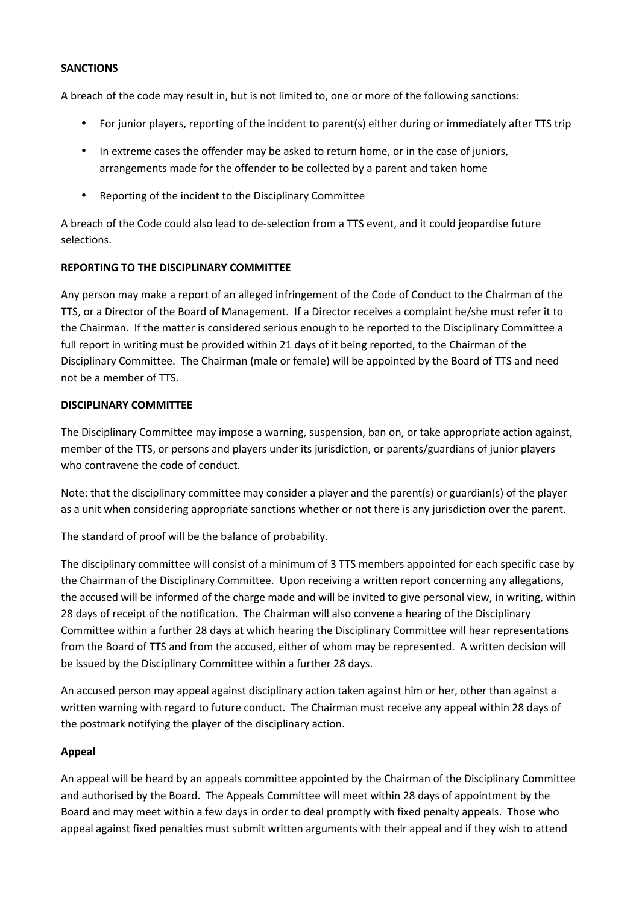## **SANCTIONS**

A breach of the code may result in, but is not limited to, one or more of the following sanctions:

- For junior players, reporting of the incident to parent(s) either during or immediately after TTS trip
- In extreme cases the offender may be asked to return home, or in the case of juniors, arrangements made for the offender to be collected by a parent and taken home
- Reporting of the incident to the Disciplinary Committee

A breach of the Code could also lead to de-selection from a TTS event, and it could jeopardise future selections.

# **REPORTING TO THE DISCIPLINARY COMMITTEE**

Any person may make a report of an alleged infringement of the Code of Conduct to the Chairman of the TTS, or a Director of the Board of Management. If a Director receives a complaint he/she must refer it to the Chairman. If the matter is considered serious enough to be reported to the Disciplinary Committee a full report in writing must be provided within 21 days of it being reported, to the Chairman of the Disciplinary Committee. The Chairman (male or female) will be appointed by the Board of TTS and need not be a member of TTS.

## **DISCIPLINARY COMMITTEE**

The Disciplinary Committee may impose a warning, suspension, ban on, or take appropriate action against, member of the TTS, or persons and players under its jurisdiction, or parents/guardians of junior players who contravene the code of conduct.

Note: that the disciplinary committee may consider a player and the parent(s) or guardian(s) of the player as a unit when considering appropriate sanctions whether or not there is any jurisdiction over the parent.

The standard of proof will be the balance of probability.

The disciplinary committee will consist of a minimum of 3 TTS members appointed for each specific case by the Chairman of the Disciplinary Committee. Upon receiving a written report concerning any allegations, the accused will be informed of the charge made and will be invited to give personal view, in writing, within 28 days of receipt of the notification. The Chairman will also convene a hearing of the Disciplinary Committee within a further 28 days at which hearing the Disciplinary Committee will hear representations from the Board of TTS and from the accused, either of whom may be represented. A written decision will be issued by the Disciplinary Committee within a further 28 days.

An accused person may appeal against disciplinary action taken against him or her, other than against a written warning with regard to future conduct. The Chairman must receive any appeal within 28 days of the postmark notifying the player of the disciplinary action.

# **Appeal**

An appeal will be heard by an appeals committee appointed by the Chairman of the Disciplinary Committee and authorised by the Board. The Appeals Committee will meet within 28 days of appointment by the Board and may meet within a few days in order to deal promptly with fixed penalty appeals. Those who appeal against fixed penalties must submit written arguments with their appeal and if they wish to attend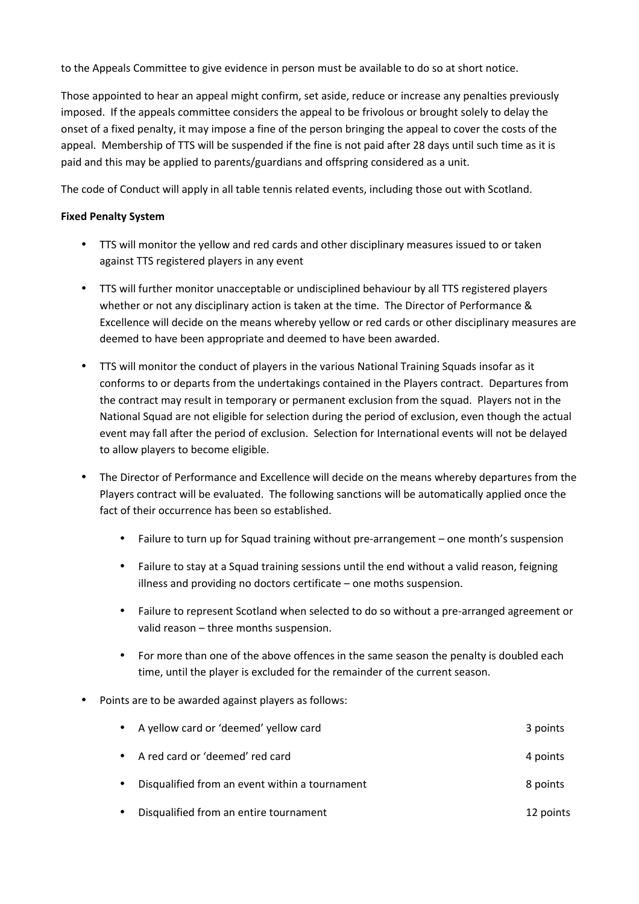to the Appeals Committee to give evidence in person must be available to do so at short notice.

Those appointed to hear an appeal might confirm, set aside, reduce or increase any penalties previously imposed. If the appeals committee considers the appeal to be frivolous or brought solely to delay the onset of a fixed penalty, it may impose a fine of the person bringing the appeal to cover the costs of the appeal. Membership of TTS will be suspended if the fine is not paid after 28 days until such time as it is paid and this may be applied to parents/guardians and offspring considered as a unit.

The code of Conduct will apply in all table tennis related events, including those out with Scotland.

#### **Fixed Penalty System**

- TTS will monitor the yellow and red cards and other disciplinary measures issued to or taken against TTS registered players in any event
- TTS will further monitor unacceptable or undisciplined behaviour by all TTS registered players whether or not any disciplinary action is taken at the time. The Director of Performance & Excellence will decide on the means whereby yellow or red cards or other disciplinary measures are deemed to have been appropriate and deemed to have been awarded.
- TTS will monitor the conduct of players in the various National Training Squads insofar as it conforms to or departs from the undertakings contained in the Players contract. Departures from the contract may result in temporary or permanent exclusion from the squad. Players not in the National Squad are not eligible for selection during the period of exclusion, even though the actual event may fall after the period of exclusion. Selection for International events will not be delayed to allow players to become eligible.
- The Director of Performance and Excellence will decide on the means whereby departures from the Players contract will be evaluated. The following sanctions will be automatically applied once the fact of their occurrence has been so established.
	- Failure to turn up for Squad training without pre-arrangement one month's suspension
	- Failure to stay at a Squad training sessions until the end without a valid reason, feigning illness and providing no doctors certificate – one moths suspension.
	- Failure to represent Scotland when selected to do so without a pre-arranged agreement or valid reason – three months suspension.
	- For more than one of the above offences in the same season the penalty is doubled each time, until the player is excluded for the remainder of the current season.
- Points are to be awarded against players as follows:

| $\bullet$ | A yellow card or 'deemed' yellow card          | 3 points  |
|-----------|------------------------------------------------|-----------|
| $\bullet$ | A red card or 'deemed' red card                | 4 points  |
|           | Disqualified from an event within a tournament | 8 points  |
|           | Disqualified from an entire tournament         | 12 points |